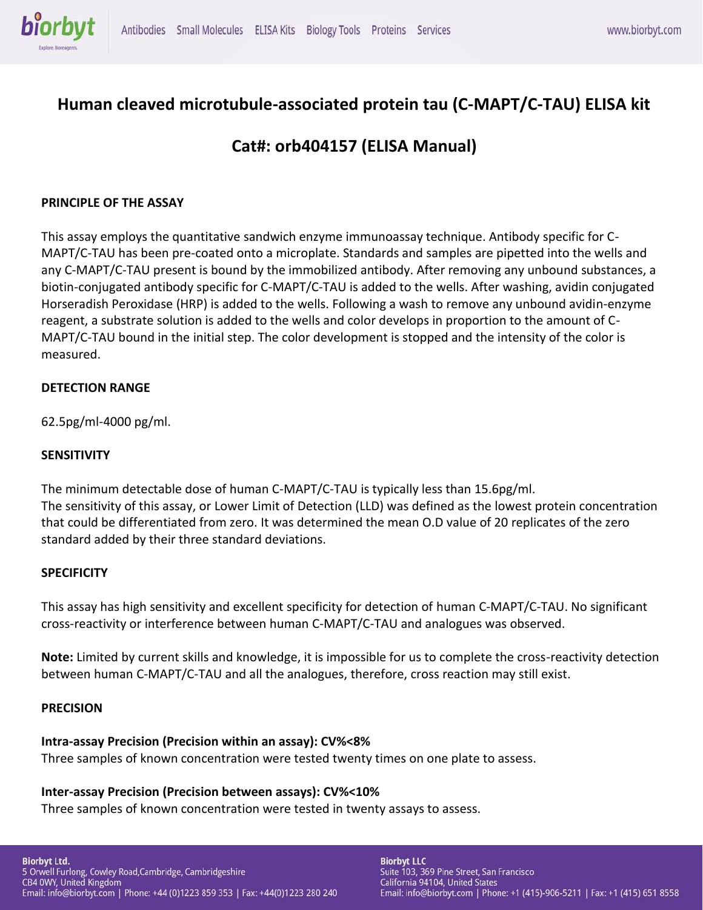

# **Human cleaved microtubule-associated protein tau (C-MAPT/C-TAU) ELISA kit**

# **Cat#: orb404157 (ELISA Manual)**

## **PRINCIPLE OF THE ASSAY**

This assay employs the quantitative sandwich enzyme immunoassay technique. Antibody specific for C-MAPT/C-TAU has been pre-coated onto a microplate. Standards and samples are pipetted into the wells and any C-MAPT/C-TAU present is bound by the immobilized antibody. After removing any unbound substances, a biotin-conjugated antibody specific for C-MAPT/C-TAU is added to the wells. After washing, avidin conjugated Horseradish Peroxidase (HRP) is added to the wells. Following a wash to remove any unbound avidin-enzyme reagent, a substrate solution is added to the wells and color develops in proportion to the amount of C-MAPT/C-TAU bound in the initial step. The color development is stopped and the intensity of the color is measured.

### **DETECTION RANGE**

62.5pg/ml-4000 pg/ml.

### **SENSITIVITY**

The minimum detectable dose of human C-MAPT/C-TAU is typically less than 15.6pg/ml. The sensitivity of this assay, or Lower Limit of Detection (LLD) was defined as the lowest protein concentration that could be differentiated from zero. It was determined the mean O.D value of 20 replicates of the zero standard added by their three standard deviations.

### **SPECIFICITY**

This assay has high sensitivity and excellent specificity for detection of human C-MAPT/C-TAU. No significant cross-reactivity or interference between human C-MAPT/C-TAU and analogues was observed.

**Note:** Limited by current skills and knowledge, it is impossible for us to complete the cross-reactivity detection between human C-MAPT/C-TAU and all the analogues, therefore, cross reaction may still exist.

### **PRECISION**

### **Intra-assay Precision (Precision within an assay): CV%<8%**

Three samples of known concentration were tested twenty times on one plate to assess.

### **Inter-assay Precision (Precision between assays): CV%<10%**

Three samples of known concentration were tested in twenty assays to assess.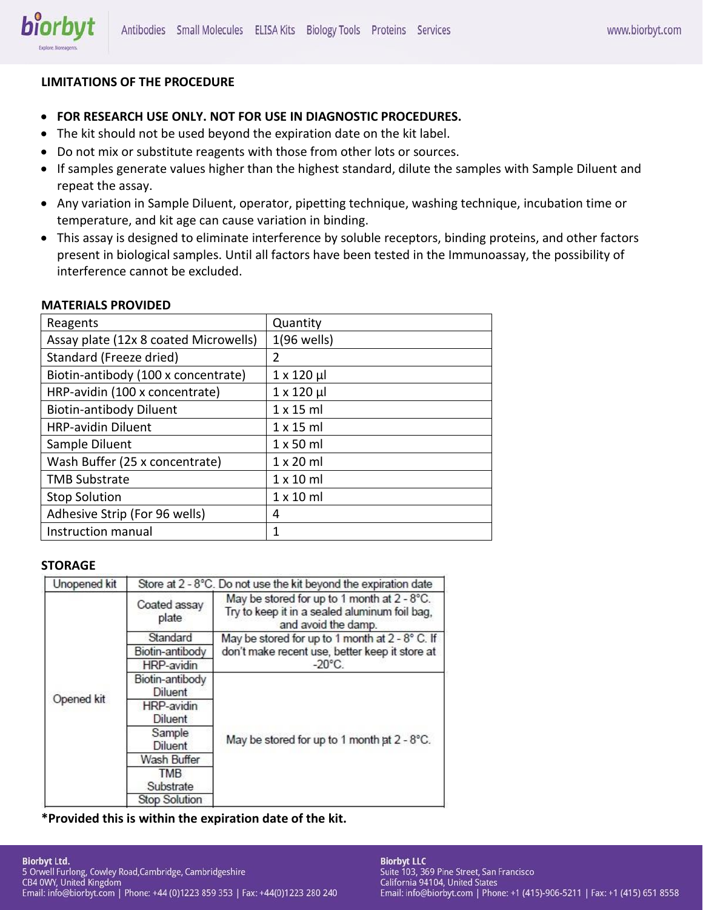

## **LIMITATIONS OF THE PROCEDURE**

- **FOR RESEARCH USE ONLY. NOT FOR USE IN DIAGNOSTIC PROCEDURES.**
- The kit should not be used beyond the expiration date on the kit label.
- Do not mix or substitute reagents with those from other lots or sources.
- If samples generate values higher than the highest standard, dilute the samples with Sample Diluent and repeat the assay.
- Any variation in Sample Diluent, operator, pipetting technique, washing technique, incubation time or temperature, and kit age can cause variation in binding.
- This assay is designed to eliminate interference by soluble receptors, binding proteins, and other factors present in biological samples. Until all factors have been tested in the Immunoassay, the possibility of interference cannot be excluded.

#### **MATERIALS PROVIDED**

| Reagents                              | Quantity           |
|---------------------------------------|--------------------|
| Assay plate (12x 8 coated Microwells) | $1(96$ wells)      |
| Standard (Freeze dried)               | 2                  |
| Biotin-antibody (100 x concentrate)   | $1 \times 120 \mu$ |
| HRP-avidin (100 x concentrate)        | $1 \times 120 \mu$ |
| <b>Biotin-antibody Diluent</b>        | $1 \times 15$ ml   |
| <b>HRP-avidin Diluent</b>             | $1 \times 15$ ml   |
| Sample Diluent                        | $1 \times 50$ ml   |
| Wash Buffer (25 x concentrate)        | $1 \times 20$ ml   |
| <b>TMB Substrate</b>                  | $1 \times 10$ ml   |
| <b>Stop Solution</b>                  | $1 \times 10$ ml   |
| Adhesive Strip (For 96 wells)         | 4                  |
| Instruction manual                    | 1                  |

#### **STORAGE**

| Unopened kit |                                   | Store at 2 - 8°C. Do not use the kit beyond the expiration date                                                     |  |  |
|--------------|-----------------------------------|---------------------------------------------------------------------------------------------------------------------|--|--|
| Opened kit   | Coated assay<br>plate             | May be stored for up to 1 month at 2 - 8°C.<br>Try to keep it in a sealed aluminum foil bag,<br>and avoid the damp. |  |  |
|              | Standard                          | May be stored for up to 1 month at 2 - 8° C. If                                                                     |  |  |
|              | Biotin-antibody                   | don't make recent use, better keep it store at                                                                      |  |  |
|              | HRP-avidin                        | $-20^{\circ}$ C.                                                                                                    |  |  |
|              | Biotin-antibody<br><b>Diluent</b> |                                                                                                                     |  |  |
|              | HRP-avidin                        |                                                                                                                     |  |  |
|              | Diluent                           |                                                                                                                     |  |  |
|              | Sample<br>Diluent                 | May be stored for up to 1 month at 2 - 8°C.                                                                         |  |  |
|              | Wash Buffer                       |                                                                                                                     |  |  |
|              | <b>TMB</b>                        |                                                                                                                     |  |  |
|              | Substrate                         |                                                                                                                     |  |  |
|              | <b>Stop Solution</b>              |                                                                                                                     |  |  |

**\*Provided this is within the expiration date of the kit.**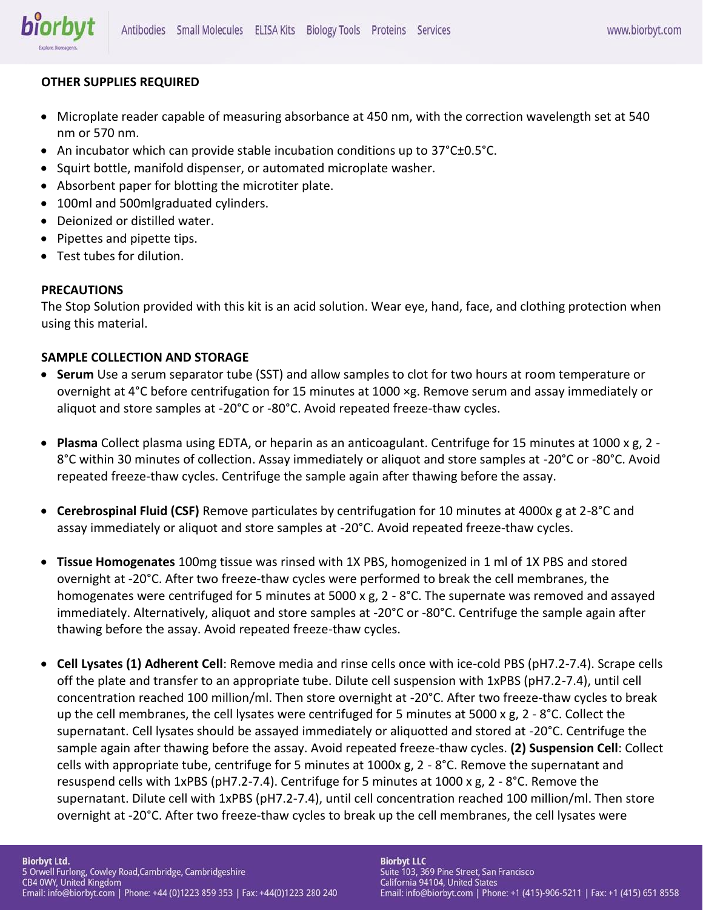## **OTHER SUPPLIES REQUIRED**

- Microplate reader capable of measuring absorbance at 450 nm, with the correction wavelength set at 540 nm or 570 nm.
- An incubator which can provide stable incubation conditions up to 37°C±0.5°C.
- Squirt bottle, manifold dispenser, or automated microplate washer.
- Absorbent paper for blotting the microtiter plate.
- 100ml and 500mlgraduated cylinders.
- Deionized or distilled water.
- Pipettes and pipette tips.
- Test tubes for dilution.

## **PRECAUTIONS**

The Stop Solution provided with this kit is an acid solution. Wear eye, hand, face, and clothing protection when using this material.

## **SAMPLE COLLECTION AND STORAGE**

- **Serum** Use a serum separator tube (SST) and allow samples to clot for two hours at room temperature or overnight at 4°C before centrifugation for 15 minutes at 1000 ×g. Remove serum and assay immediately or aliquot and store samples at -20°C or -80°C. Avoid repeated freeze-thaw cycles.
- **Plasma** Collect plasma using EDTA, or heparin as an anticoagulant. Centrifuge for 15 minutes at 1000 x g, 2 8°C within 30 minutes of collection. Assay immediately or aliquot and store samples at -20°C or -80°C. Avoid repeated freeze-thaw cycles. Centrifuge the sample again after thawing before the assay.
- **Cerebrospinal Fluid (CSF)** Remove particulates by centrifugation for 10 minutes at 4000x g at 2-8°C and assay immediately or aliquot and store samples at -20°C. Avoid repeated freeze-thaw cycles.
- **Tissue Homogenates** 100mg tissue was rinsed with 1X PBS, homogenized in 1 ml of 1X PBS and stored overnight at -20°C. After two freeze-thaw cycles were performed to break the cell membranes, the homogenates were centrifuged for 5 minutes at 5000 x g, 2 - 8°C. The supernate was removed and assayed immediately. Alternatively, aliquot and store samples at -20°C or -80°C. Centrifuge the sample again after thawing before the assay. Avoid repeated freeze-thaw cycles.
- **Cell Lysates (1) Adherent Cell**: Remove media and rinse cells once with ice-cold PBS (pH7.2-7.4). Scrape cells off the plate and transfer to an appropriate tube. Dilute cell suspension with 1xPBS (pH7.2-7.4), until cell concentration reached 100 million/ml. Then store overnight at -20°C. After two freeze-thaw cycles to break up the cell membranes, the cell lysates were centrifuged for 5 minutes at 5000 x g, 2 - 8°C. Collect the supernatant. Cell lysates should be assayed immediately or aliquotted and stored at -20°C. Centrifuge the sample again after thawing before the assay. Avoid repeated freeze-thaw cycles. **(2) Suspension Cell**: Collect cells with appropriate tube, centrifuge for 5 minutes at 1000x g, 2 - 8°C. Remove the supernatant and resuspend cells with 1xPBS (pH7.2-7.4). Centrifuge for 5 minutes at 1000 x g, 2 - 8°C. Remove the supernatant. Dilute cell with 1xPBS (pH7.2-7.4), until cell concentration reached 100 million/ml. Then store overnight at -20°C. After two freeze-thaw cycles to break up the cell membranes, the cell lysates were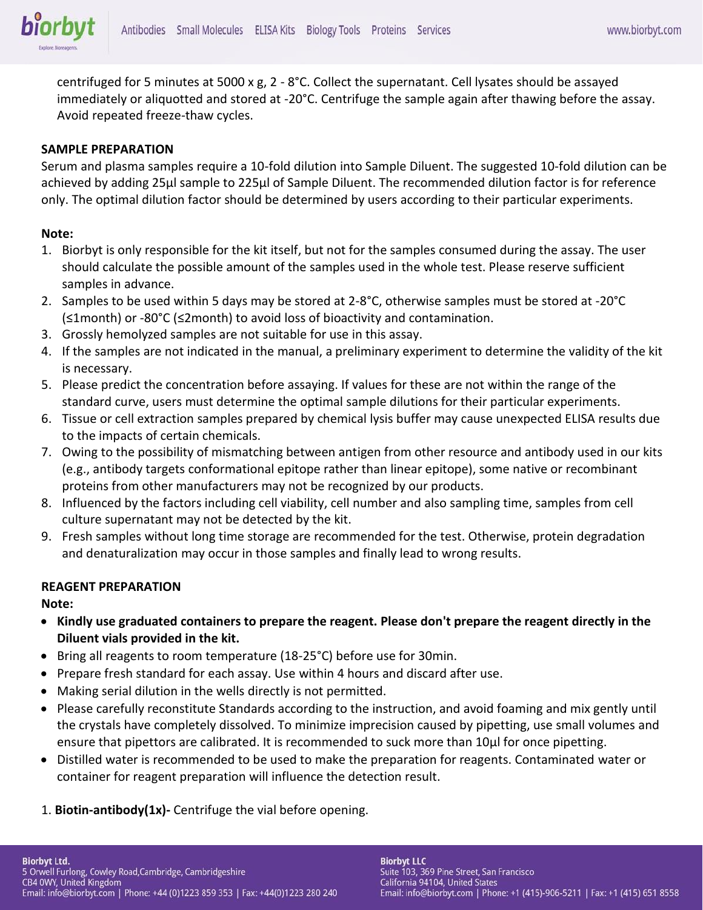centrifuged for 5 minutes at 5000 x g, 2 - 8°C. Collect the supernatant. Cell lysates should be assayed immediately or aliquotted and stored at -20°C. Centrifuge the sample again after thawing before the assay. Avoid repeated freeze-thaw cycles.

### **SAMPLE PREPARATION**

Serum and plasma samples require a 10-fold dilution into Sample Diluent. The suggested 10-fold dilution can be achieved by adding 25μl sample to 225μl of Sample Diluent. The recommended dilution factor is for reference only. The optimal dilution factor should be determined by users according to their particular experiments.

#### **Note:**

- 1. Biorbyt is only responsible for the kit itself, but not for the samples consumed during the assay. The user should calculate the possible amount of the samples used in the whole test. Please reserve sufficient samples in advance.
- 2. Samples to be used within 5 days may be stored at 2-8°C, otherwise samples must be stored at -20°C (≤1month) or -80°C (≤2month) to avoid loss of bioactivity and contamination.
- 3. Grossly hemolyzed samples are not suitable for use in this assay.
- 4. If the samples are not indicated in the manual, a preliminary experiment to determine the validity of the kit is necessary.
- 5. Please predict the concentration before assaying. If values for these are not within the range of the standard curve, users must determine the optimal sample dilutions for their particular experiments.
- 6. Tissue or cell extraction samples prepared by chemical lysis buffer may cause unexpected ELISA results due to the impacts of certain chemicals.
- 7. Owing to the possibility of mismatching between antigen from other resource and antibody used in our kits (e.g., antibody targets conformational epitope rather than linear epitope), some native or recombinant proteins from other manufacturers may not be recognized by our products.
- 8. Influenced by the factors including cell viability, cell number and also sampling time, samples from cell culture supernatant may not be detected by the kit.
- 9. Fresh samples without long time storage are recommended for the test. Otherwise, protein degradation and denaturalization may occur in those samples and finally lead to wrong results.

### **REAGENT PREPARATION**

**Note:** 

- **Kindly use graduated containers to prepare the reagent. Please don't prepare the reagent directly in the Diluent vials provided in the kit.**
- Bring all reagents to room temperature (18-25°C) before use for 30min.
- Prepare fresh standard for each assay. Use within 4 hours and discard after use.
- Making serial dilution in the wells directly is not permitted.
- Please carefully reconstitute Standards according to the instruction, and avoid foaming and mix gently until the crystals have completely dissolved. To minimize imprecision caused by pipetting, use small volumes and ensure that pipettors are calibrated. It is recommended to suck more than 10μl for once pipetting.
- Distilled water is recommended to be used to make the preparation for reagents. Contaminated water or container for reagent preparation will influence the detection result.
- 1. **Biotin-antibody(1x)-** Centrifuge the vial before opening.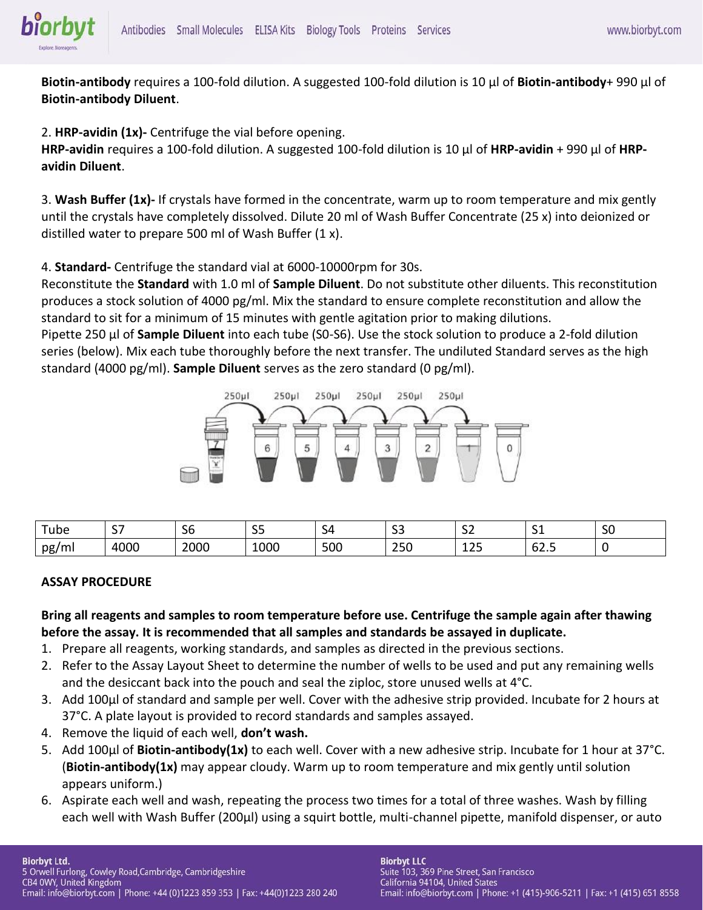**Biotin-antibody** requires a 100-fold dilution. A suggested 100-fold dilution is 10 μl of **Biotin-antibody**+ 990 μl of **Biotin-antibody Diluent**.

2. **HRP-avidin (1x)-** Centrifuge the vial before opening.

**HRP-avidin** requires a 100-fold dilution. A suggested 100-fold dilution is 10 μl of **HRP-avidin** + 990 μl of **HRPavidin Diluent**.

3. **Wash Buffer (1x)-** If crystals have formed in the concentrate, warm up to room temperature and mix gently until the crystals have completely dissolved. Dilute 20 ml of Wash Buffer Concentrate (25 x) into deionized or distilled water to prepare 500 ml of Wash Buffer (1 x).

4. **Standard-** Centrifuge the standard vial at 6000-10000rpm for 30s.

Reconstitute the **Standard** with 1.0 ml of **Sample Diluent**. Do not substitute other diluents. This reconstitution produces a stock solution of 4000 pg/ml. Mix the standard to ensure complete reconstitution and allow the standard to sit for a minimum of 15 minutes with gentle agitation prior to making dilutions.

Pipette 250 μl of **Sample Diluent** into each tube (S0-S6). Use the stock solution to produce a 2-fold dilution series (below). Mix each tube thoroughly before the next transfer. The undiluted Standard serves as the high standard (4000 pg/ml). **Sample Diluent** serves as the zero standard (0 pg/ml).



| $\overline{\phantom{0}}$   | $\sim$ $\sim$ | $\sim$ $\sim$ | $\sim$ $\sim$                | -          | $\sim$   | $\sim$ $\sim$        | -    | $\sim$ |
|----------------------------|---------------|---------------|------------------------------|------------|----------|----------------------|------|--------|
| ! ube                      | <u>.</u>      | эo            | ັ                            | . .        | <u>-</u> | ັ                    | ັ    | υc     |
| nø<br>$\sim$<br>יים א<br>. | 1000          |               | $\sim$ $\sim$ $\sim$<br>-000 | <b>500</b> | --       | $\sim$ $\sim$<br>--- | 02.J |        |

### **ASSAY PROCEDURE**

**Bring all reagents and samples to room temperature before use. Centrifuge the sample again after thawing before the assay. It is recommended that all samples and standards be assayed in duplicate.** 

- 1. Prepare all reagents, working standards, and samples as directed in the previous sections.
- 2. Refer to the Assay Layout Sheet to determine the number of wells to be used and put any remaining wells and the desiccant back into the pouch and seal the ziploc, store unused wells at 4°C.
- 3. Add 100μl of standard and sample per well. Cover with the adhesive strip provided. Incubate for 2 hours at 37°C. A plate layout is provided to record standards and samples assayed.
- 4. Remove the liquid of each well, **don't wash.**
- 5. Add 100μl of **Biotin-antibody(1x)** to each well. Cover with a new adhesive strip. Incubate for 1 hour at 37°C. (**Biotin-antibody(1x)** may appear cloudy. Warm up to room temperature and mix gently until solution appears uniform.)
- 6. Aspirate each well and wash, repeating the process two times for a total of three washes. Wash by filling each well with Wash Buffer (200μl) using a squirt bottle, multi-channel pipette, manifold dispenser, or auto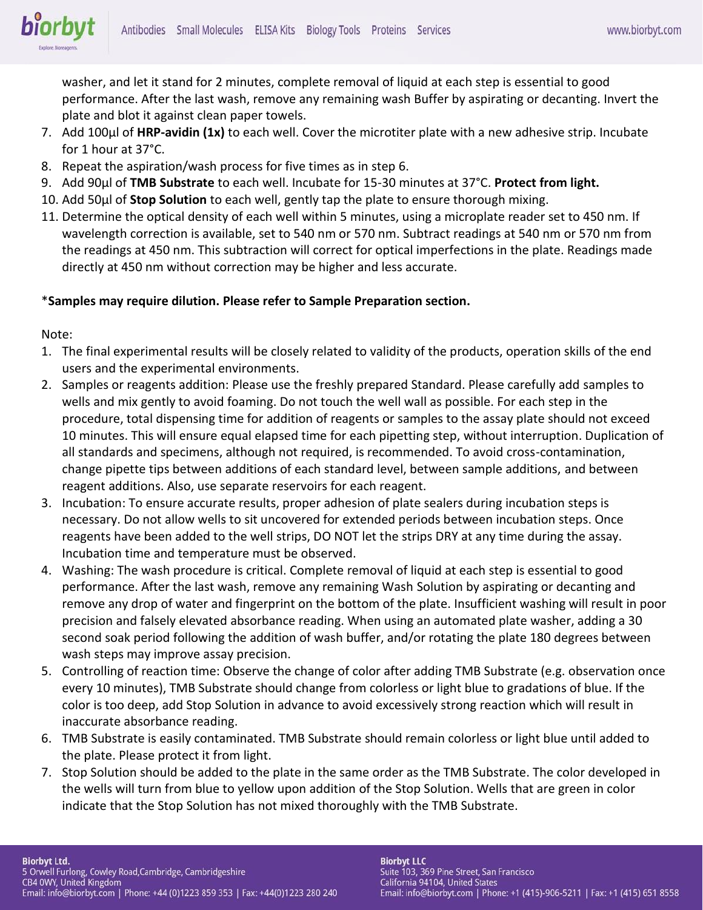

washer, and let it stand for 2 minutes, complete removal of liquid at each step is essential to good performance. After the last wash, remove any remaining wash Buffer by aspirating or decanting. Invert the plate and blot it against clean paper towels.

- 7. Add 100μl of **HRP-avidin (1x)** to each well. Cover the microtiter plate with a new adhesive strip. Incubate for 1 hour at 37°C.
- 8. Repeat the aspiration/wash process for five times as in step 6.
- 9. Add 90μl of **TMB Substrate** to each well. Incubate for 15-30 minutes at 37°C. **Protect from light.**
- 10. Add 50μl of **Stop Solution** to each well, gently tap the plate to ensure thorough mixing.
- 11. Determine the optical density of each well within 5 minutes, using a microplate reader set to 450 nm. If wavelength correction is available, set to 540 nm or 570 nm. Subtract readings at 540 nm or 570 nm from the readings at 450 nm. This subtraction will correct for optical imperfections in the plate. Readings made directly at 450 nm without correction may be higher and less accurate.

## \***Samples may require dilution. Please refer to Sample Preparation section.**

Note:

- 1. The final experimental results will be closely related to validity of the products, operation skills of the end users and the experimental environments.
- 2. Samples or reagents addition: Please use the freshly prepared Standard. Please carefully add samples to wells and mix gently to avoid foaming. Do not touch the well wall as possible. For each step in the procedure, total dispensing time for addition of reagents or samples to the assay plate should not exceed 10 minutes. This will ensure equal elapsed time for each pipetting step, without interruption. Duplication of all standards and specimens, although not required, is recommended. To avoid cross-contamination, change pipette tips between additions of each standard level, between sample additions, and between reagent additions. Also, use separate reservoirs for each reagent.
- 3. Incubation: To ensure accurate results, proper adhesion of plate sealers during incubation steps is necessary. Do not allow wells to sit uncovered for extended periods between incubation steps. Once reagents have been added to the well strips, DO NOT let the strips DRY at any time during the assay. Incubation time and temperature must be observed.
- 4. Washing: The wash procedure is critical. Complete removal of liquid at each step is essential to good performance. After the last wash, remove any remaining Wash Solution by aspirating or decanting and remove any drop of water and fingerprint on the bottom of the plate. Insufficient washing will result in poor precision and falsely elevated absorbance reading. When using an automated plate washer, adding a 30 second soak period following the addition of wash buffer, and/or rotating the plate 180 degrees between wash steps may improve assay precision.
- 5. Controlling of reaction time: Observe the change of color after adding TMB Substrate (e.g. observation once every 10 minutes), TMB Substrate should change from colorless or light blue to gradations of blue. If the color is too deep, add Stop Solution in advance to avoid excessively strong reaction which will result in inaccurate absorbance reading.
- 6. TMB Substrate is easily contaminated. TMB Substrate should remain colorless or light blue until added to the plate. Please protect it from light.
- 7. Stop Solution should be added to the plate in the same order as the TMB Substrate. The color developed in the wells will turn from blue to yellow upon addition of the Stop Solution. Wells that are green in color indicate that the Stop Solution has not mixed thoroughly with the TMB Substrate.